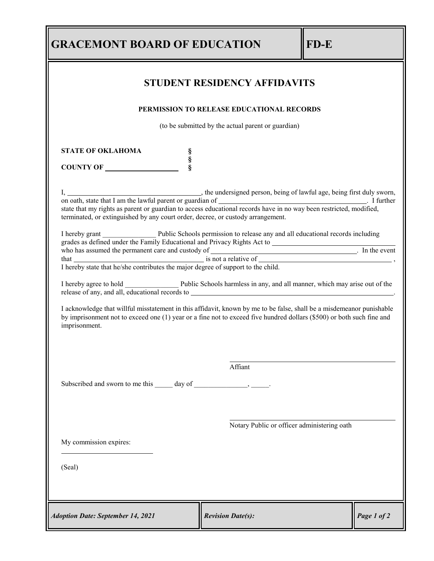| <b>GRACEMONT BOARD OF EDUCATION</b>                                                                                                                                                                                                                                                        |                                             | FD-E |             |  |  |
|--------------------------------------------------------------------------------------------------------------------------------------------------------------------------------------------------------------------------------------------------------------------------------------------|---------------------------------------------|------|-------------|--|--|
| <b>STUDENT RESIDENCY AFFIDAVITS</b>                                                                                                                                                                                                                                                        |                                             |      |             |  |  |
| PERMISSION TO RELEASE EDUCATIONAL RECORDS                                                                                                                                                                                                                                                  |                                             |      |             |  |  |
| (to be submitted by the actual parent or guardian)                                                                                                                                                                                                                                         |                                             |      |             |  |  |
| <b>STATE OF OKLAHOMA</b><br>S<br>S<br>S<br>COUNTY OF                                                                                                                                                                                                                                       |                                             |      |             |  |  |
| terminated, or extinguished by any court order, decree, or custody arrangement.                                                                                                                                                                                                            |                                             |      |             |  |  |
| I hereby grant Public Schools permission to release any and all educational records including<br>who has assumed the permanent care and custody of is not a relative of that is not a relative of $\frac{1}{\pi}$ . In the event of $\frac{1}{\pi}$ is not a relative of $\frac{1}{\pi}$ . |                                             |      |             |  |  |
|                                                                                                                                                                                                                                                                                            |                                             |      |             |  |  |
| I acknowledge that willful misstatement in this affidavit, known by me to be false, shall be a misdemeanor punishable<br>by imprisonment not to exceed one (1) year or a fine not to exceed five hundred dollars (\$500) or both such fine and<br>imprisonment.                            |                                             |      |             |  |  |
|                                                                                                                                                                                                                                                                                            | Affiant                                     |      |             |  |  |
|                                                                                                                                                                                                                                                                                            |                                             |      |             |  |  |
|                                                                                                                                                                                                                                                                                            | Notary Public or officer administering oath |      |             |  |  |
| My commission expires:                                                                                                                                                                                                                                                                     |                                             |      |             |  |  |
| (Seal)                                                                                                                                                                                                                                                                                     |                                             |      |             |  |  |
| <b>Adoption Date: September 14, 2021</b>                                                                                                                                                                                                                                                   | <b>Revision Date(s):</b>                    |      | Page 1 of 2 |  |  |